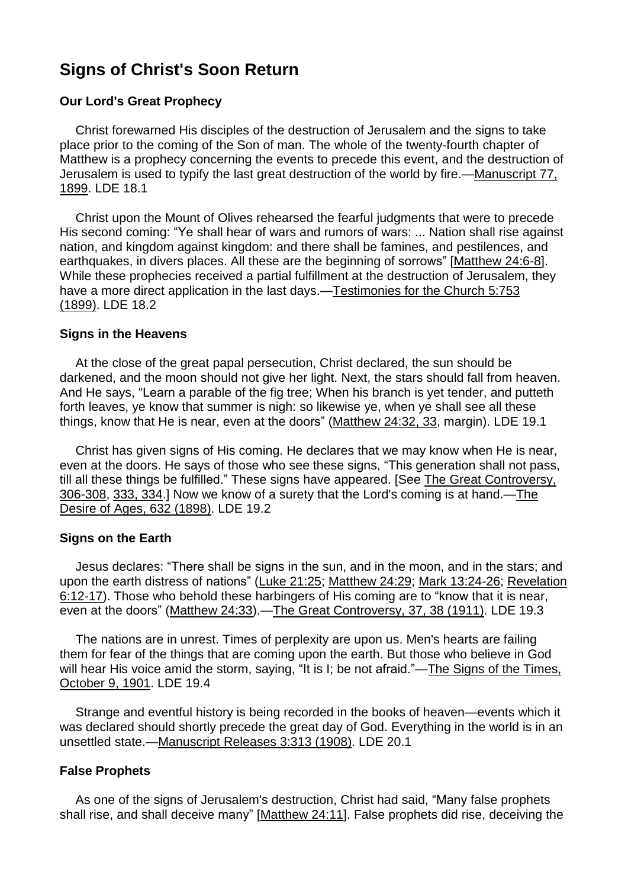# **Signs of Christ's Soon Return**

## **Our Lord's Great Prophecy**

Christ forewarned His disciples of the destruction of Jerusalem and the signs to take place prior to the coming of the Son of man. The whole of the twenty-fourth chapter of Matthew is a prophecy concerning the events to precede this event, and the destruction of Jerusalem is used to typify the last great destruction of the world by fire.[—Manuscript](https://m.egwwritings.org/en/book/14064.6050001#6050001) 77, [1899.](https://m.egwwritings.org/en/book/14064.6050001#6050001) LDE 18.1

Christ upon the Mount of Olives rehearsed the fearful judgments that were to precede His second coming: "Ye shall hear of wars and rumors of wars: ... Nation shall rise against nation, and kingdom against kingdom: and there shall be famines, and pestilences, and earthquakes, in divers places. All these are the beginning of sorrows" [\[Matthew](https://m.egwwritings.org/en/book/1965.48922#48922) 24:6-8]. While these prophecies received a partial fulfillment at the destruction of Jerusalem, they have a more direct application in the last days.[—Testimonies](https://m.egwwritings.org/en/book/113.3650#3650) for the Church 5:753 [\(1899\).](https://m.egwwritings.org/en/book/113.3650#3650) LDE 18.2

### **Signs in the Heavens**

At the close of the great papal persecution, Christ declared, the sun should be darkened, and the moon should not give her light. Next, the stars should fall from heaven. And He says, "Learn a parable of the fig tree; When his branch is yet tender, and putteth forth leaves, ye know that summer is nigh: so likewise ye, when ye shall see all these things, know that He is near, even at the doors" [\(Matthew](https://m.egwwritings.org/en/book/1965.48974#48974) 24:32, 33, margin). LDE 19.1

Christ has given signs of His coming. He declares that we may know when He is near, even at the doors. He says of those who see these signs, "This generation shall not pass, till all these things be fulfilled." These signs have appeared. [See The Great [Controversy,](https://m.egwwritings.org/en/book/132.1400#1400) [306-308,](https://m.egwwritings.org/en/book/132.1400#1400) [333,](https://m.egwwritings.org/en/book/132.1518#1518) 334.] Now we know of a surety that the Lord's coming is at hand.[—The](https://m.egwwritings.org/en/book/130.3104#3104) Desire of Ages, 632 [\(1898\).](https://m.egwwritings.org/en/book/130.3104#3104) LDE 19.2

#### **Signs on the Earth**

Jesus declares: "There shall be signs in the sun, and in the moon, and in the stars; and upon the earth distress of nations" (Luke [21:25;](https://m.egwwritings.org/en/book/1965.52741#52741) [Matthew](https://m.egwwritings.org/en/book/1965.48968#48968) 24:29; Mark [13:24-26;](https://m.egwwritings.org/en/book/1965.50496#50496) [Revelation](https://m.egwwritings.org/en/book/1965.62852#62852) [6:12-17\)](https://m.egwwritings.org/en/book/1965.62852#62852). Those who behold these harbingers of His coming are to "know that it is near, even at the doors" [\(Matthew](https://m.egwwritings.org/en/book/1965.48976#48976) 24:33).—The Great [Controversy,](https://m.egwwritings.org/en/book/132.154#154) 37, 38 (1911). LDE 19.3

The nations are in unrest. Times of perplexity are upon us. Men's hearts are failing them for fear of the things that are coming upon the earth. But those who believe in God will hear His voice amid the storm, saying, "It is I; be not afraid."—The Signs of the [Times,](https://m.egwwritings.org/en/book/820.17640#17640) [October](https://m.egwwritings.org/en/book/820.17640#17640) 9, 1901. LDE 19.4

Strange and eventful history is being recorded in the books of heaven—events which it was declared should shortly precede the great day of God. Everything in the world is in an unsettled state.[—Manuscript](https://m.egwwritings.org/en/book/69.1698#1698) Releases 3:313 (1908). LDE 20.1

## **False Prophets**

As one of the signs of Jerusalem's destruction, Christ had said, "Many false prophets shall rise, and shall deceive many" [\[Matthew](https://m.egwwritings.org/en/book/1965.48932#48932) 24:11]. False prophets did rise, deceiving the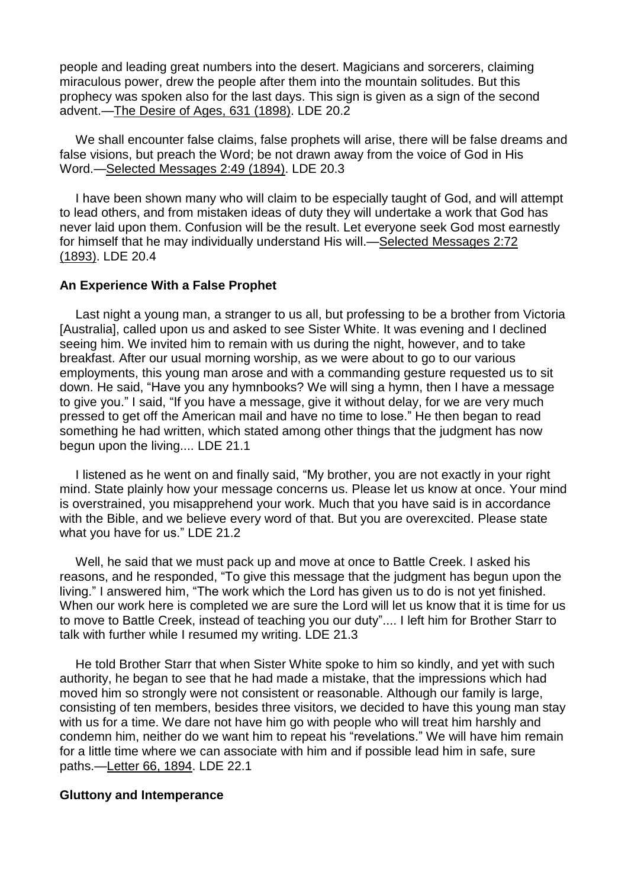people and leading great numbers into the desert. Magicians and sorcerers, claiming miraculous power, drew the people after them into the mountain solitudes. But this prophecy was spoken also for the last days. This sign is given as a sign of the second advent.—The Desire of Ages, 631 [\(1898\).](https://m.egwwritings.org/en/book/130.3100#3100) LDE 20.2

We shall encounter false claims, false prophets will arise, there will be false dreams and false visions, but preach the Word; be not drawn away from the voice of God in His Word.—Selected [Messages](https://m.egwwritings.org/en/book/99.259#259) 2:49 (1894). LDE 20.3

I have been shown many who will claim to be especially taught of God, and will attempt to lead others, and from mistaken ideas of duty they will undertake a work that God has never laid upon them. Confusion will be the result. Let everyone seek God most earnestly for himself that he may individually understand His will.—Selected [Messages](https://m.egwwritings.org/en/book/99.402#402) 2:72 [\(1893\).](https://m.egwwritings.org/en/book/99.402#402) LDE 20.4

### **An Experience With a False Prophet**

Last night a young man, a stranger to us all, but professing to be a brother from Victoria [Australia], called upon us and asked to see Sister White. It was evening and I declined seeing him. We invited him to remain with us during the night, however, and to take breakfast. After our usual morning worship, as we were about to go to our various employments, this young man arose and with a commanding gesture requested us to sit down. He said, "Have you any hymnbooks? We will sing a hymn, then I have a message to give you." I said, "If you have a message, give it without delay, for we are very much pressed to get off the American mail and have no time to lose." He then began to read something he had written, which stated among other things that the judgment has now begun upon the living.... LDE 21.1

I listened as he went on and finally said, "My brother, you are not exactly in your right mind. State plainly how your message concerns us. Please let us know at once. Your mind is overstrained, you misapprehend your work. Much that you have said is in accordance with the Bible, and we believe every word of that. But you are overexcited. Please state what you have for us." LDE 21.2

Well, he said that we must pack up and move at once to Battle Creek. I asked his reasons, and he responded, "To give this message that the judgment has begun upon the living." I answered him, "The work which the Lord has given us to do is not yet finished. When our work here is completed we are sure the Lord will let us know that it is time for us to move to Battle Creek, instead of teaching you our duty".... I left him for Brother Starr to talk with further while I resumed my writing. LDE 21.3

He told Brother Starr that when Sister White spoke to him so kindly, and yet with such authority, he began to see that he had made a mistake, that the impressions which had moved him so strongly were not consistent or reasonable. Although our family is large, consisting of ten members, besides three visitors, we decided to have this young man stay with us for a time. We dare not have him go with people who will treat him harshly and condemn him, neither do we want him to repeat his "revelations." We will have him remain for a little time where we can associate with him and if possible lead him in safe, sure paths.[—Letter](https://m.egwwritings.org/en/book/14059.6785001#6785001) 66, 1894. LDE 22.1

#### **Gluttony and Intemperance**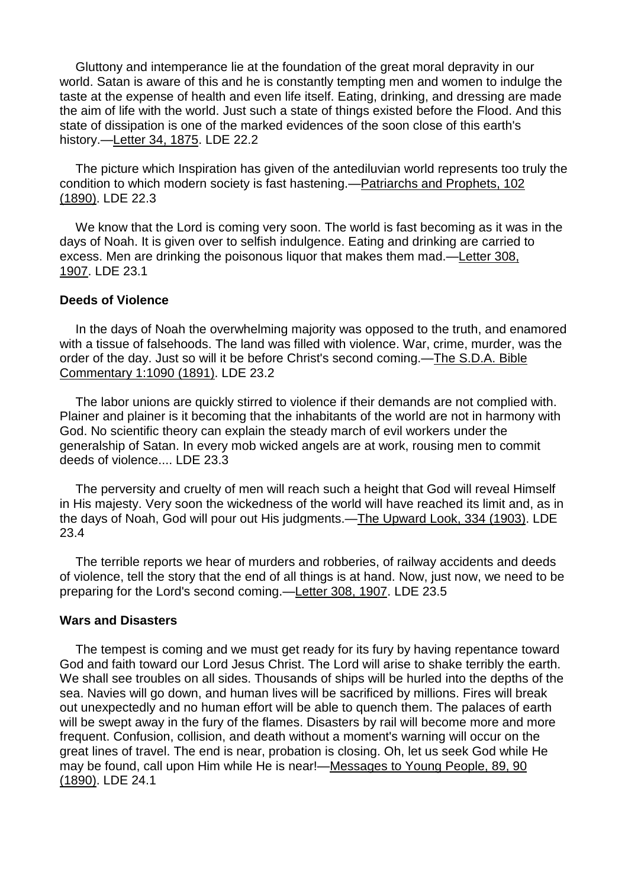Gluttony and intemperance lie at the foundation of the great moral depravity in our world. Satan is aware of this and he is constantly tempting men and women to indulge the taste at the expense of health and even life itself. Eating, drinking, and dressing are made the aim of life with the world. Just such a state of things existed before the Flood. And this state of dissipation is one of the marked evidences of the soon close of this earth's history.[—Letter](https://m.egwwritings.org/en/book/14052.3344001#3344001) 34, 1875. LDE 22.2

The picture which Inspiration has given of the antediluvian world represents too truly the condition to which modern society is fast hastening.[—Patriarchs](https://m.egwwritings.org/en/book/84.389#389) and Prophets, 102 [\(1890\).](https://m.egwwritings.org/en/book/84.389#389) LDE 22.3

We know that the Lord is coming very soon. The world is fast becoming as it was in the days of Noah. It is given over to selfish indulgence. Eating and drinking are carried to excess. Men are drinking the poisonous liquor that makes them mad.[—Letter](https://m.egwwritings.org/en/book/14072.9365001#9365001) 308, [1907.](https://m.egwwritings.org/en/book/14072.9365001#9365001) LDE 23.1

#### **Deeds of Violence**

In the days of Noah the overwhelming majority was opposed to the truth, and enamored with a tissue of falsehoods. The land was filled with violence. War, crime, murder, was the order of the day. Just so will it be before Christ's second coming.—The [S.D.A.](https://m.egwwritings.org/en/book/90.115#115) Bible [Commentary](https://m.egwwritings.org/en/book/90.115#115) 1:1090 (1891). LDE 23.2

The labor unions are quickly stirred to violence if their demands are not complied with. Plainer and plainer is it becoming that the inhabitants of the world are not in harmony with God. No scientific theory can explain the steady march of evil workers under the generalship of Satan. In every mob wicked angels are at work, rousing men to commit deeds of violence.... LDE 23.3

The perversity and cruelty of men will reach such a height that God will reveal Himself in His majesty. Very soon the wickedness of the world will have reached its limit and, as in the days of Noah, God will pour out His judgments.—The [Upward](https://m.egwwritings.org/en/book/147.2574#2574) Look, 334 (1903). LDE 23.4

The terrible reports we hear of murders and robberies, of railway accidents and deeds of violence, tell the story that the end of all things is at hand. Now, just now, we need to be preparing for the Lord's second coming.[—Letter](https://m.egwwritings.org/en/book/14072.9365001#9365001) 308, 1907. LDE 23.5

#### **Wars and Disasters**

The tempest is coming and we must get ready for its fury by having repentance toward God and faith toward our Lord Jesus Christ. The Lord will arise to shake terribly the earth. We shall see troubles on all sides. Thousands of ships will be hurled into the depths of the sea. Navies will go down, and human lives will be sacrificed by millions. Fires will break out unexpectedly and no human effort will be able to quench them. The palaces of earth will be swept away in the fury of the flames. Disasters by rail will become more and more frequent. Confusion, collision, and death without a moment's warning will occur on the great lines of travel. The end is near, probation is closing. Oh, let us seek God while He may be found, call upon Him while He is near![—Messages](https://m.egwwritings.org/en/book/76.412#412) to Young People, 89, 90 [\(1890\).](https://m.egwwritings.org/en/book/76.412#412) LDE 24.1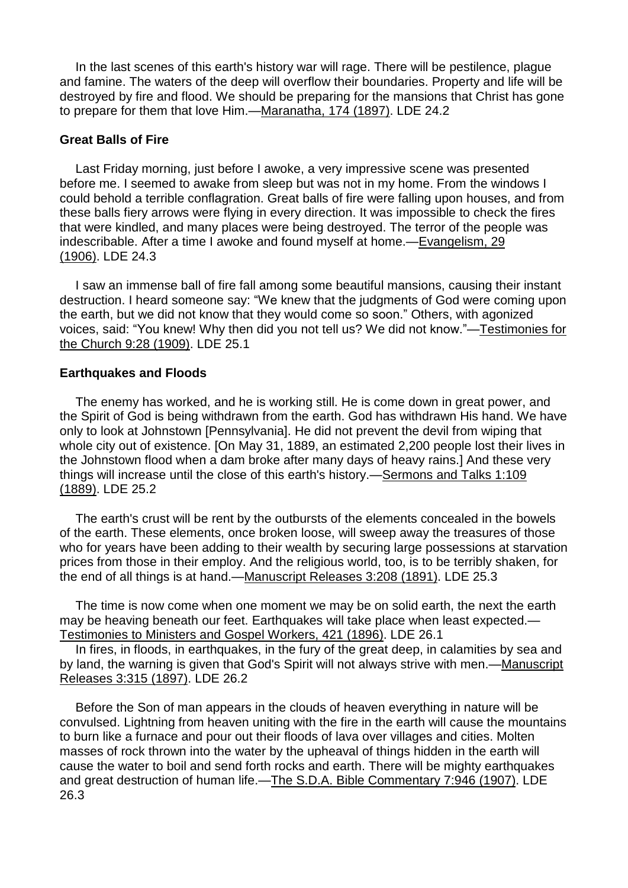In the last scenes of this earth's history war will rage. There will be pestilence, plague and famine. The waters of the deep will overflow their boundaries. Property and life will be destroyed by fire and flood. We should be preparing for the mansions that Christ has gone to prepare for them that love Him.[—Maranatha,](https://m.egwwritings.org/en/book/74.1246#1246) 174 (1897). LDE 24.2

#### **Great Balls of Fire**

Last Friday morning, just before I awoke, a very impressive scene was presented before me. I seemed to awake from sleep but was not in my home. From the windows I could behold a terrible conflagration. Great balls of fire were falling upon houses, and from these balls fiery arrows were flying in every direction. It was impossible to check the fires that were kindled, and many places were being destroyed. The terror of the people was indescribable. After a time I awoke and found myself at home.[—Evangelism,](https://m.egwwritings.org/en/book/30.123#123) 29 [\(1906\).](https://m.egwwritings.org/en/book/30.123#123) LDE 24.3

I saw an immense ball of fire fall among some beautiful mansions, causing their instant destruction. I heard someone say: "We knew that the judgments of God were coming upon the earth, but we did not know that they would come so soon." Others, with agonized voices, said: "You knew! Why then did you not tell us? We did not know."[—Testimonies](https://m.egwwritings.org/en/book/115.142#142) for the [Church](https://m.egwwritings.org/en/book/115.142#142) 9:28 (1909). LDE 25.1

#### **Earthquakes and Floods**

The enemy has worked, and he is working still. He is come down in great power, and the Spirit of God is being withdrawn from the earth. God has withdrawn His hand. We have only to look at Johnstown [Pennsylvania]. He did not prevent the devil from wiping that whole city out of existence. [On May 31, 1889, an estimated 2,200 people lost their lives in the Johnstown flood when a dam broke after many days of heavy rains.] And these very things will increase until the close of this earth's history.[—Sermons](https://m.egwwritings.org/en/book/427.506#506) and Talks 1:109 [\(1889\).](https://m.egwwritings.org/en/book/427.506#506) LDE 25.2

The earth's crust will be rent by the outbursts of the elements concealed in the bowels of the earth. These elements, once broken loose, will sweep away the treasures of those who for years have been adding to their wealth by securing large possessions at starvation prices from those in their employ. And the religious world, too, is to be terribly shaken, for the end of all things is at hand.[—Manuscript](https://m.egwwritings.org/en/book/69.1129#1129) Releases 3:208 (1891). LDE 25.3

The time is now come when one moment we may be on solid earth, the next the earth may be heaving beneath our feet. Earthquakes will take place when least expected.— [Testimonies](https://m.egwwritings.org/en/book/123.2332#2332) to Ministers and Gospel Workers, 421 (1896). LDE 26.1

In fires, in floods, in earthquakes, in the fury of the great deep, in calamities by sea and by land, the warning is given that God's Spirit will not always strive with men.[—Manuscript](https://m.egwwritings.org/en/book/69.1708#1708) [Releases](https://m.egwwritings.org/en/book/69.1708#1708) 3:315 (1897). LDE 26.2

Before the Son of man appears in the clouds of heaven everything in nature will be convulsed. Lightning from heaven uniting with the fire in the earth will cause the mountains to burn like a furnace and pour out their floods of lava over villages and cities. Molten masses of rock thrown into the water by the upheaval of things hidden in the earth will cause the water to boil and send forth rocks and earth. There will be mighty earthquakes and great destruction of human life.—The S.D.A. Bible [Commentary](https://m.egwwritings.org/en/book/96.618#618) 7:946 (1907). LDE 26.3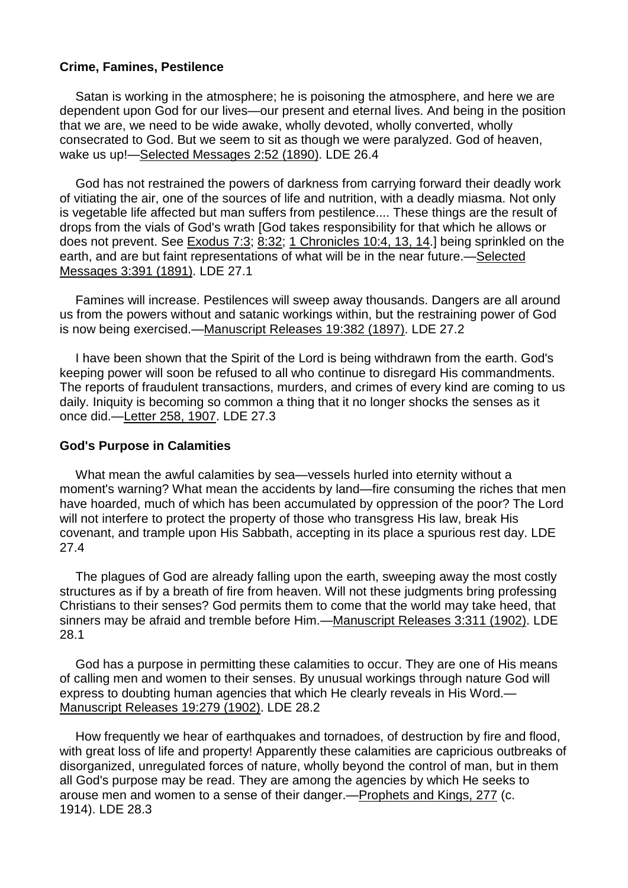### **Crime, Famines, Pestilence**

Satan is working in the atmosphere; he is poisoning the atmosphere, and here we are dependent upon God for our lives—our present and eternal lives. And being in the position that we are, we need to be wide awake, wholly devoted, wholly converted, wholly consecrated to God. But we seem to sit as though we were paralyzed. God of heaven, wake us up!—Selected [Messages](https://m.egwwritings.org/en/book/99.280#280) 2:52 (1890). LDE 26.4

God has not restrained the powers of darkness from carrying forward their deadly work of vitiating the air, one of the sources of life and nutrition, with a deadly miasma. Not only is vegetable life affected but man suffers from pestilence.... These things are the result of drops from the vials of God's wrath [God takes responsibility for that which he allows or does not prevent. See [Exodus](https://m.egwwritings.org/en/book/1965.3438#3438) 7:3; [8:32;](https://m.egwwritings.org/en/book/1965.3547#3547) 1 [Chronicles](https://m.egwwritings.org/en/book/1965.21690#21690) 10:4, 13, 14.] being sprinkled on the earth, and are but faint representations of what will be in the near future.[—Selected](https://m.egwwritings.org/en/book/100.2349#2349) [Messages](https://m.egwwritings.org/en/book/100.2349#2349) 3:391 (1891). LDE 27.1

Famines will increase. Pestilences will sweep away thousands. Dangers are all around us from the powers without and satanic workings within, but the restraining power of God is now being exercised.[—Manuscript](https://m.egwwritings.org/en/book/60.2016#2016) Releases 19:382 (1897). LDE 27.2

I have been shown that the Spirit of the Lord is being withdrawn from the earth. God's keeping power will soon be refused to all who continue to disregard His commandments. The reports of fraudulent transactions, murders, and crimes of every kind are coming to us daily. Iniquity is becoming so common a thing that it no longer shocks the senses as it once did.[—Letter](https://m.egwwritings.org/en/book/14072.10674001#10674001) 258, 1907. LDE 27.3

#### **God's Purpose in Calamities**

What mean the awful calamities by sea—vessels hurled into eternity without a moment's warning? What mean the accidents by land—fire consuming the riches that men have hoarded, much of which has been accumulated by oppression of the poor? The Lord will not interfere to protect the property of those who transgress His law, break His covenant, and trample upon His Sabbath, accepting in its place a spurious rest day. LDE 27.4

The plagues of God are already falling upon the earth, sweeping away the most costly structures as if by a breath of fire from heaven. Will not these judgments bring professing Christians to their senses? God permits them to come that the world may take heed, that sinners may be afraid and tremble before Him.[—Manuscript](https://m.egwwritings.org/en/book/69.1686#1686) Releases 3:311 (1902). LDE 28.1

God has a purpose in permitting these calamities to occur. They are one of His means of calling men and women to their senses. By unusual workings through nature God will express to doubting human agencies that which He clearly reveals in His Word.— [Manuscript](https://m.egwwritings.org/en/book/60.1468#1468) Releases 19:279 (1902). LDE 28.2

How frequently we hear of earthquakes and tornadoes, of destruction by fire and flood, with great loss of life and property! Apparently these calamities are capricious outbreaks of disorganized, unregulated forces of nature, wholly beyond the control of man, but in them all God's purpose may be read. They are among the agencies by which He seeks to arouse men and women to a sense of their danger.[—Prophets](https://m.egwwritings.org/en/book/88.1229#1229) and Kings, 277 (c. 1914). LDE 28.3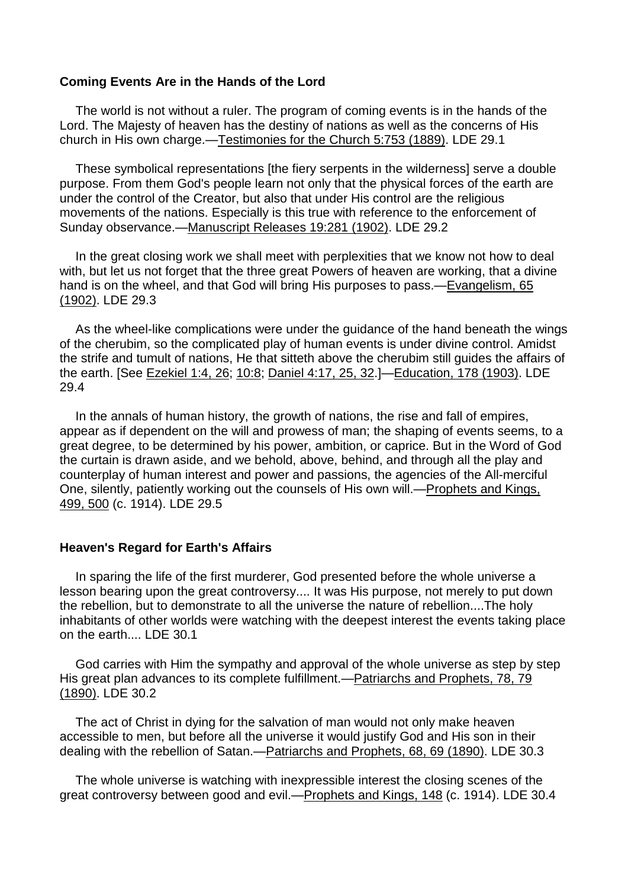#### **Coming Events Are in the Hands of the Lord**

The world is not without a ruler. The program of coming events is in the hands of the Lord. The Majesty of heaven has the destiny of nations as well as the concerns of His church in His own charge.[—Testimonies](https://m.egwwritings.org/en/book/113.3650#3650) for the Church 5:753 (1889). LDE 29.1

These symbolical representations [the fiery serpents in the wilderness] serve a double purpose. From them God's people learn not only that the physical forces of the earth are under the control of the Creator, but also that under His control are the religious movements of the nations. Especially is this true with reference to the enforcement of Sunday observance.[—Manuscript](https://m.egwwritings.org/en/book/60.1476#1476) Releases 19:281 (1902). LDE 29.2

In the great closing work we shall meet with perplexities that we know not how to deal with, but let us not forget that the three great Powers of heaven are working, that a divine hand is on the wheel, and that God will bring His purposes to pass.[—Evangelism,](https://m.egwwritings.org/en/book/30.332#332) 65 [\(1902\).](https://m.egwwritings.org/en/book/30.332#332) LDE 29.3

As the wheel-like complications were under the guidance of the hand beneath the wings of the cherubim, so the complicated play of human events is under divine control. Amidst the strife and tumult of nations, He that sitteth above the cherubim still guides the affairs of the earth. [See [Ezekiel](https://m.egwwritings.org/en/book/1965.41768#41768) 1:4, 26; [10:8;](https://m.egwwritings.org/en/book/1965.42123#42123) [Daniel](https://m.egwwritings.org/en/book/1965.44592#44592) 4:17, 25, 32.][—Education,](https://m.egwwritings.org/en/book/29.941#941) 178 (1903). LDE 29.4

In the annals of human history, the growth of nations, the rise and fall of empires, appear as if dependent on the will and prowess of man; the shaping of events seems, to a great degree, to be determined by his power, ambition, or caprice. But in the Word of God the curtain is drawn aside, and we behold, above, behind, and through all the play and counterplay of human interest and power and passions, the agencies of the All-merciful One, silently, patiently working out the counsels of His own will.[—Prophets](https://m.egwwritings.org/en/book/88.2215#2215) and Kings, [499,](https://m.egwwritings.org/en/book/88.2215#2215) 500 (c. 1914). LDE 29.5

#### **Heaven's Regard for Earth's Affairs**

In sparing the life of the first murderer, God presented before the whole universe a lesson bearing upon the great controversy.... It was His purpose, not merely to put down the rebellion, but to demonstrate to all the universe the nature of rebellion....The holy inhabitants of other worlds were watching with the deepest interest the events taking place on the earth.... LDE 30.1

God carries with Him the sympathy and approval of the whole universe as step by step His great plan advances to its complete fulfillment.[—Patriarchs](https://m.egwwritings.org/en/book/84.281#281) and Prophets, 78, 79 [\(1890\).](https://m.egwwritings.org/en/book/84.281#281) LDE 30.2

The act of Christ in dying for the salvation of man would not only make heaven accessible to men, but before all the universe it would justify God and His son in their dealing with the rebellion of Satan.[—Patriarchs](https://m.egwwritings.org/en/book/84.243#243) and Prophets, 68, 69 (1890). LDE 30.3

The whole universe is watching with inexpressible interest the closing scenes of the great controversy between good and evil.[—Prophets](https://m.egwwritings.org/en/book/88.637#637) and Kings, 148 (c. 1914). LDE 30.4